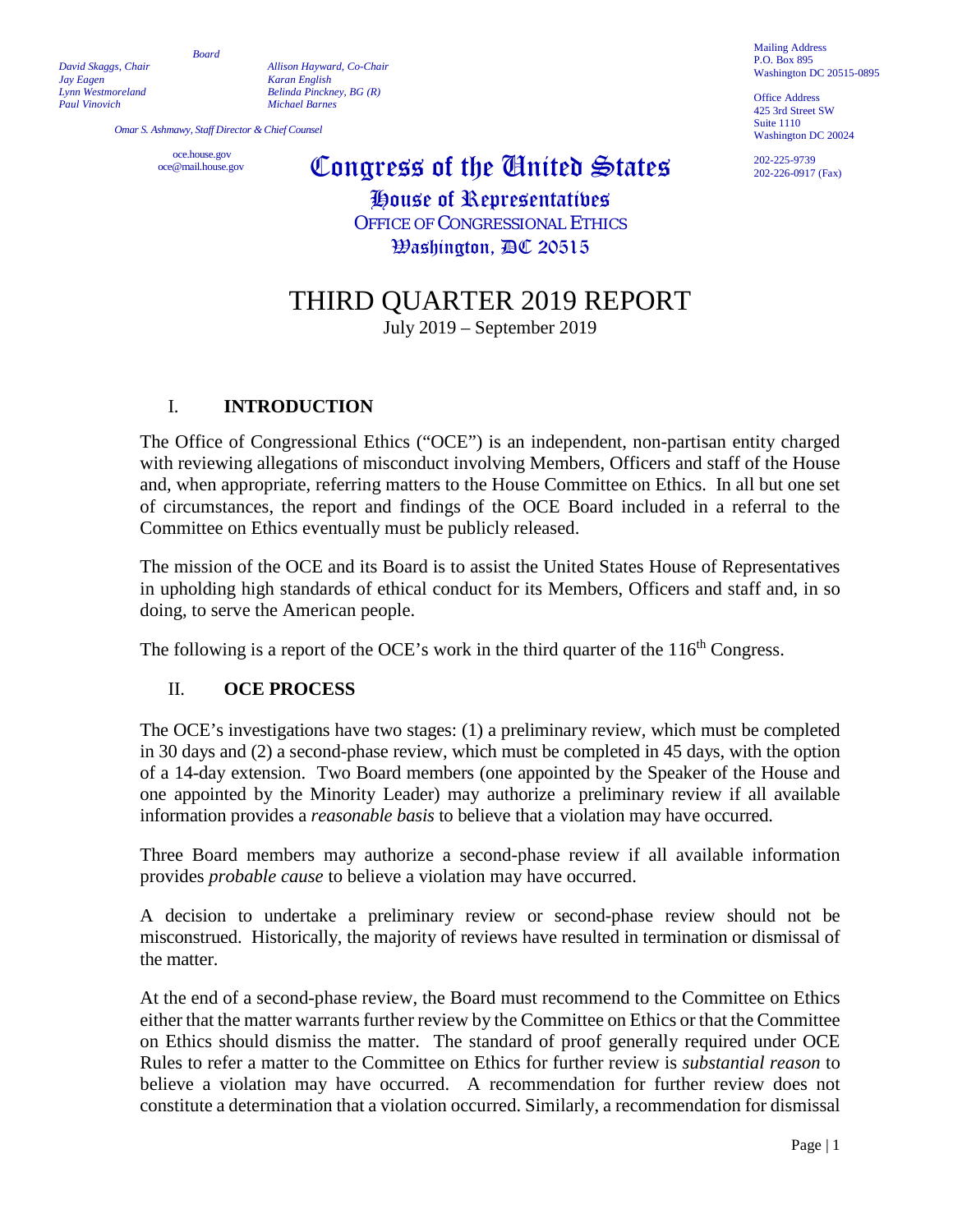*Board*

*David Skaggs, Chair Allison Hayward, Co-Chair Jay Eagen Karan English Lynn Westmoreland Belinda Pinckney, BG (R) Paul Vinovich Michael Barnes*

*Omar S. Ashmawy, Staff Director & Chief Counsel*

oce.house.gov<br>
oce@mail.house.gov

# Congress of the United States

House of Representatives OFFICE OF CONGRESSIONAL ETHICS Washington, DC 20515

# THIRD QUARTER 2019 REPORT

July 2019 – September 2019

#### I. **INTRODUCTION**

The Office of Congressional Ethics ("OCE") is an independent, non-partisan entity charged with reviewing allegations of misconduct involving Members, Officers and staff of the House and, when appropriate, referring matters to the House Committee on Ethics. In all but one set of circumstances, the report and findings of the OCE Board included in a referral to the Committee on Ethics eventually must be publicly released.

The mission of the OCE and its Board is to assist the United States House of Representatives in upholding high standards of ethical conduct for its Members, Officers and staff and, in so doing, to serve the American people.

The following is a report of the OCE's work in the third quarter of the  $116<sup>th</sup>$  Congress.

#### II. **OCE PROCESS**

The OCE's investigations have two stages: (1) a preliminary review, which must be completed in 30 days and (2) a second-phase review, which must be completed in 45 days, with the option of a 14-day extension. Two Board members (one appointed by the Speaker of the House and one appointed by the Minority Leader) may authorize a preliminary review if all available information provides a *reasonable basis* to believe that a violation may have occurred.

Three Board members may authorize a second-phase review if all available information provides *probable cause* to believe a violation may have occurred.

A decision to undertake a preliminary review or second-phase review should not be misconstrued. Historically, the majority of reviews have resulted in termination or dismissal of the matter.

At the end of a second-phase review, the Board must recommend to the Committee on Ethics either that the matter warrants further review by the Committee on Ethics or that the Committee on Ethics should dismiss the matter. The standard of proof generally required under OCE Rules to refer a matter to the Committee on Ethics for further review is *substantial reason* to believe a violation may have occurred. A recommendation for further review does not constitute a determination that a violation occurred. Similarly, a recommendation for dismissal

Mailing Address P.O. Box 895 Washington DC 20515-0895

Office Address 425 3rd Street SW Suite 1110 Washington DC 20024

202-225-9739 202-226-0917 (Fax)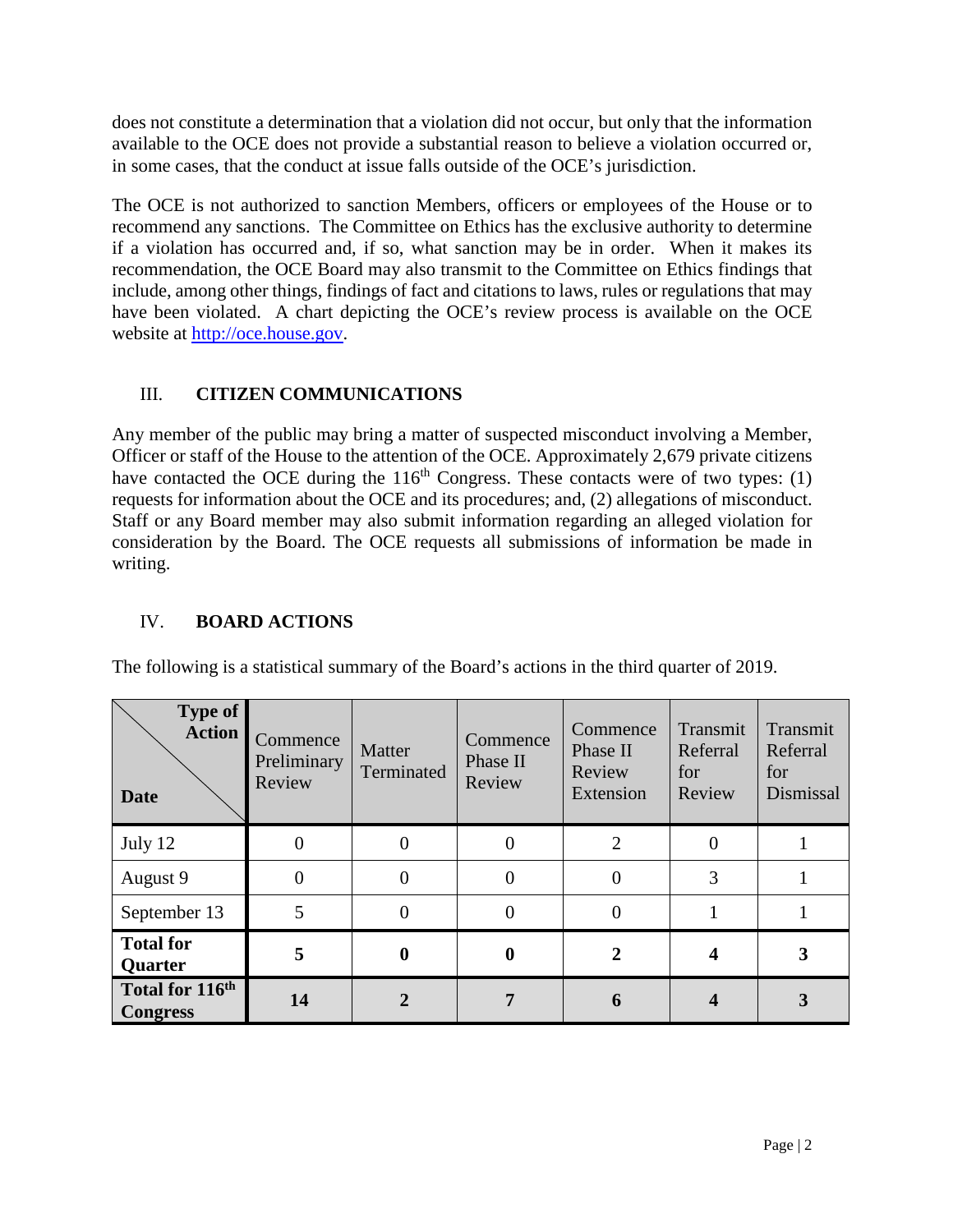does not constitute a determination that a violation did not occur, but only that the information available to the OCE does not provide a substantial reason to believe a violation occurred or, in some cases, that the conduct at issue falls outside of the OCE's jurisdiction.

The OCE is not authorized to sanction Members, officers or employees of the House or to recommend any sanctions. The Committee on Ethics has the exclusive authority to determine if a violation has occurred and, if so, what sanction may be in order. When it makes its recommendation, the OCE Board may also transmit to the Committee on Ethics findings that include, among other things, findings of fact and citations to laws, rules or regulations that may have been violated. A chart depicting the OCE's review process is available on the OCE website at [http://oce.house.gov.](http://oce.house.gov/)

## III. **CITIZEN COMMUNICATIONS**

Any member of the public may bring a matter of suspected misconduct involving a Member, Officer or staff of the House to the attention of the OCE. Approximately 2,679 private citizens have contacted the OCE during the  $116<sup>th</sup>$  Congress. These contacts were of two types: (1) requests for information about the OCE and its procedures; and, (2) allegations of misconduct. Staff or any Board member may also submit information regarding an alleged violation for consideration by the Board. The OCE requests all submissions of information be made in writing.

## IV. **BOARD ACTIONS**

The following is a statistical summary of the Board's actions in the third quarter of 2019.

| Type of<br><b>Action</b><br><b>Date</b>        | Commence<br>Preliminary<br>Review | Matter<br>Terminated | Commence<br>Phase II<br>Review | Commence<br>Phase II<br>Review<br>Extension | Transmit<br>Referral<br>for<br>Review | Transmit<br>Referral<br>for<br>Dismissal |
|------------------------------------------------|-----------------------------------|----------------------|--------------------------------|---------------------------------------------|---------------------------------------|------------------------------------------|
| July 12                                        |                                   |                      | $\theta$                       | 2                                           |                                       |                                          |
| August 9                                       | 0                                 | $\Omega$             | $\theta$                       | $\theta$                                    | 3                                     |                                          |
| September 13                                   | 5                                 |                      | $\theta$                       |                                             |                                       |                                          |
| <b>Total for</b><br>Quarter                    | 5                                 | $\bf{0}$             | $\boldsymbol{0}$               | 2                                           |                                       | 3                                        |
| Total for 116 <sup>th</sup><br><b>Congress</b> | 14                                |                      |                                |                                             |                                       |                                          |